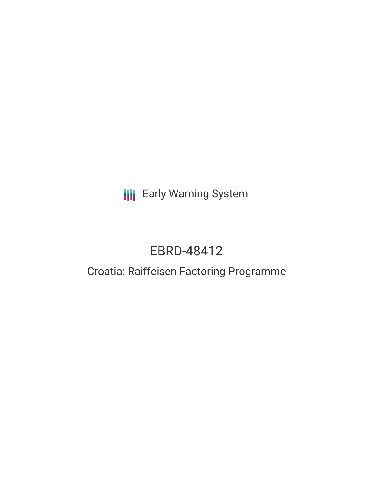**III** Early Warning System

# EBRD-48412

## Croatia: Raiffeisen Factoring Programme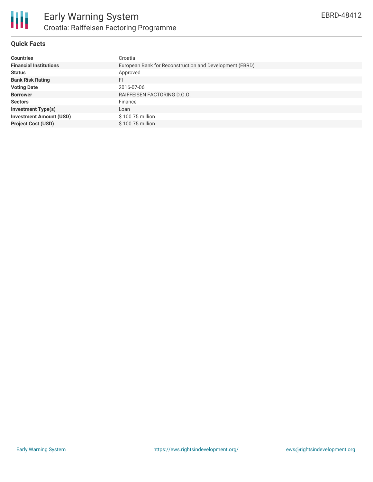

### **Quick Facts**

| <b>Countries</b>               | Croatia                                                 |
|--------------------------------|---------------------------------------------------------|
| <b>Financial Institutions</b>  | European Bank for Reconstruction and Development (EBRD) |
| <b>Status</b>                  | Approved                                                |
| <b>Bank Risk Rating</b>        | FI                                                      |
| <b>Voting Date</b>             | 2016-07-06                                              |
| <b>Borrower</b>                | RAIFFEISEN FACTORING D.O.O.                             |
| <b>Sectors</b>                 | Finance                                                 |
| <b>Investment Type(s)</b>      | Loan                                                    |
| <b>Investment Amount (USD)</b> | \$100.75 million                                        |
| <b>Project Cost (USD)</b>      | \$100.75 million                                        |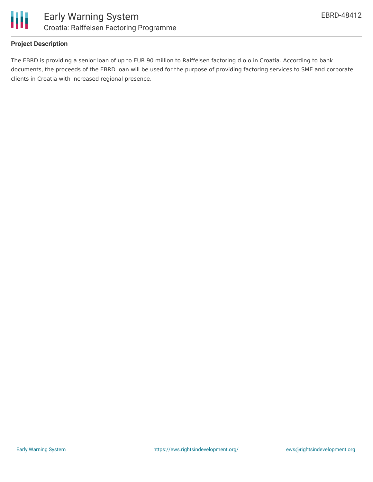

#### **Project Description**

The EBRD is providing a senior loan of up to EUR 90 million to Raiffeisen factoring d.o.o in Croatia. According to bank documents, the proceeds of the EBRD loan will be used for the purpose of providing factoring services to SME and corporate clients in Croatia with increased regional presence.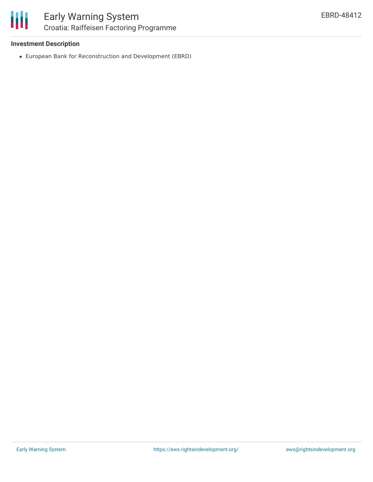

#### **Investment Description**

European Bank for Reconstruction and Development (EBRD)